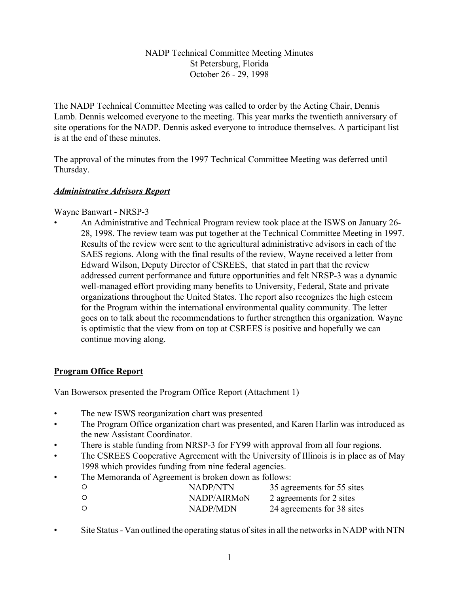## NADP Technical Committee Meeting Minutes St Petersburg, Florida October 26 - 29, 1998

The NADP Technical Committee Meeting was called to order by the Acting Chair, Dennis Lamb. Dennis welcomed everyone to the meeting. This year marks the twentieth anniversary of site operations for the NADP. Dennis asked everyone to introduce themselves. A participant list is at the end of these minutes.

The approval of the minutes from the 1997 Technical Committee Meeting was deferred until Thursday.

## *Administrative Advisors Report*

Wayne Banwart - NRSP-3

• An Administrative and Technical Program review took place at the ISWS on January 26- 28, 1998. The review team was put together at the Technical Committee Meeting in 1997. Results of the review were sent to the agricultural administrative advisors in each of the SAES regions. Along with the final results of the review, Wayne received a letter from Edward Wilson, Deputy Director of CSREES, that stated in part that the review addressed current performance and future opportunities and felt NRSP-3 was a dynamic well-managed effort providing many benefits to University, Federal, State and private organizations throughout the United States. The report also recognizes the high esteem for the Program within the international environmental quality community. The letter goes on to talk about the recommendations to further strengthen this organization. Wayne is optimistic that the view from on top at CSREES is positive and hopefully we can continue moving along.

# **Program Office Report**

Van Bowersox presented the Program Office Report (Attachment 1)

- The new ISWS reorganization chart was presented
- The Program Office organization chart was presented, and Karen Harlin was introduced as the new Assistant Coordinator.
- There is stable funding from NRSP-3 for FY99 with approval from all four regions.
- The CSREES Cooperative Agreement with the University of Illinois is in place as of May 1998 which provides funding from nine federal agencies.
- The Memoranda of Agreement is broken down as follows:

| $\circ$ | NADP/NTN        | 35 agreements for 55 sites |
|---------|-----------------|----------------------------|
| $\circ$ | NADP/AIRMON     | 2 agreements for 2 sites   |
| $\circ$ | <b>NADP/MDN</b> | 24 agreements for 38 sites |

Site Status - Van outlined the operating status of sites in all the networks in NADP with NTN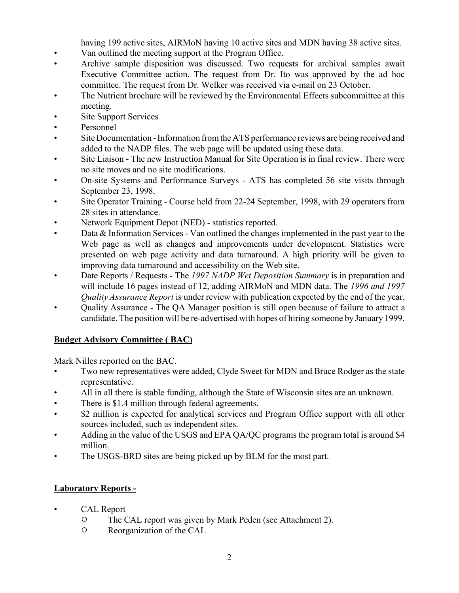having 199 active sites, AIRMoN having 10 active sites and MDN having 38 active sites.

- Van outlined the meeting support at the Program Office.
- Archive sample disposition was discussed. Two requests for archival samples await Executive Committee action. The request from Dr. Ito was approved by the ad hoc committee. The request from Dr. Welker was received via e-mail on 23 October.
- The Nutrient brochure will be reviewed by the Environmental Effects subcommittee at this meeting.
- Site Support Services
- Personnel
- Site Documentation Information from the ATS performance reviews are being received and added to the NADP files. The web page will be updated using these data.
- Site Liaison The new Instruction Manual for Site Operation is in final review. There were no site moves and no site modifications.
- On-site Systems and Performance Surveys ATS has completed 56 site visits through September 23, 1998.
- Site Operator Training Course held from 22-24 September, 1998, with 29 operators from 28 sites in attendance.
- Network Equipment Depot (NED) statistics reported.
- Data & Information Services Van outlined the changes implemented in the past year to the Web page as well as changes and improvements under development. Statistics were presented on web page activity and data turnaround. A high priority will be given to improving data turnaround and accessibility on the Web site.
- Date Reports / Requests The *1997 NADP Wet Deposition Summary* is in preparation and will include 16 pages instead of 12, adding AIRMoN and MDN data. The *1996 and 1997 Quality Assurance Report* is under review with publication expected by the end of the year.
- Quality Assurance The QA Manager position is still open because of failure to attract a candidate. The position will be re-advertised with hopes of hiring someone by January 1999.

## **Budget Advisory Committee ( BAC)**

Mark Nilles reported on the BAC.

- Two new representatives were added, Clyde Sweet for MDN and Bruce Rodger as the state representative.
- All in all there is stable funding, although the State of Wisconsin sites are an unknown.
- There is \$1.4 million through federal agreements.
- \$2 million is expected for analytical services and Program Office support with all other sources included, such as independent sites.
- Adding in the value of the USGS and EPA QA/QC programs the program total is around \$4 million.
- The USGS-BRD sites are being picked up by BLM for the most part.

## **Laboratory Reports -**

- CAL Report
	- <sup>O</sup> The CAL report was given by Mark Peden (see Attachment 2).
	- $\circ$  Reorganization of the CAL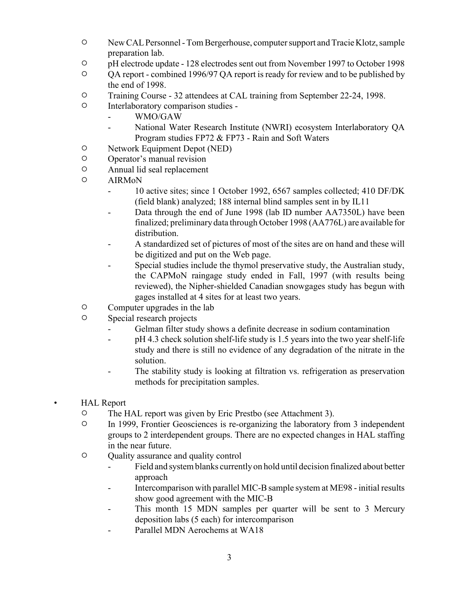- $\degree$  New CAL Personnel Tom Bergerhouse, computer support and Tracie Klotz, sample preparation lab.
- <sup>O</sup> pH electrode update 128 electrodes sent out from November 1997 to October 1998
- " QA report combined 1996/97 QA report is ready for review and to be published by the end of 1998.
- <sup>O</sup> Training Course 32 attendees at CAL training from September 22-24, 1998.
- $\circ$  Interlaboratory comparison studies -
	- WMO/GAW
	- National Water Research Institute (NWRI) ecosystem Interlaboratory QA Program studies FP72 & FP73 - Rain and Soft Waters
- $\circ$  Network Equipment Depot (NED)
- O Operator's manual revision
- $\circ$  Annual lid seal replacement
- O AIRMON
	- 10 active sites; since 1 October 1992, 6567 samples collected; 410 DF/DK (field blank) analyzed; 188 internal blind samples sent in by IL11
	- Data through the end of June 1998 (lab ID number AA7350L) have been finalized; preliminary data through October 1998 (AA776L) are available for distribution.
	- A standardized set of pictures of most of the sites are on hand and these will be digitized and put on the Web page.
	- Special studies include the thymol preservative study, the Australian study, the CAPMoN raingage study ended in Fall, 1997 (with results being reviewed), the Nipher-shielded Canadian snowgages study has begun with gages installed at 4 sites for at least two years.
- $\circ$  Computer upgrades in the lab
- $\circ$  Special research projects
	- Gelman filter study shows a definite decrease in sodium contamination
	- pH 4.3 check solution shelf-life study is 1.5 years into the two year shelf-life study and there is still no evidence of any degradation of the nitrate in the solution.
	- The stability study is looking at filtration vs. refrigeration as preservation methods for precipitation samples.
- HAL Report
	- <sup>O</sup> The HAL report was given by Eric Prestbo (see Attachment 3).
	- <sup>O</sup> In 1999, Frontier Geosciences is re-organizing the laboratory from 3 independent groups to 2 interdependent groups. There are no expected changes in HAL staffing in the near future.
	- $\circ$  Quality assurance and quality control
		- Field and system blanks currently on hold until decision finalized about better approach
		- Intercomparison with parallel MIC-B sample system at ME98 initial results show good agreement with the MIC-B
		- This month 15 MDN samples per quarter will be sent to 3 Mercury deposition labs (5 each) for intercomparison
		- Parallel MDN Aerochems at WA18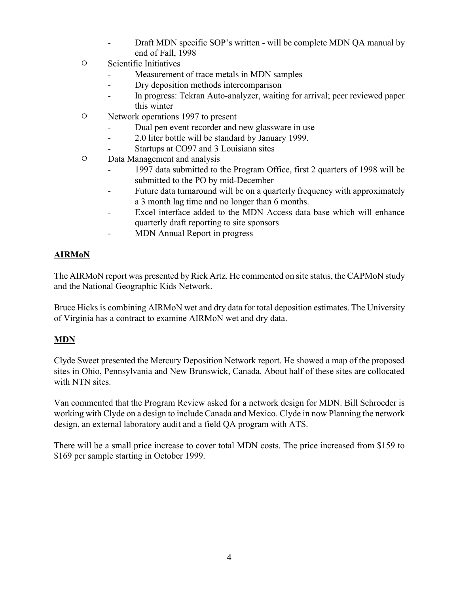- Draft MDN specific SOP's written will be complete MDN QA manual by end of Fall, 1998
- $\circ$  Scientific Initiatives
	- Measurement of trace metals in MDN samples
	- Dry deposition methods intercomparison
	- In progress: Tekran Auto-analyzer, waiting for arrival; peer reviewed paper this winter
- $\circ$  Network operations 1997 to present
	- Dual pen event recorder and new glassware in use
	- 2.0 liter bottle will be standard by January 1999.
	- Startups at CO97 and 3 Louisiana sites
- $O$  Data Management and analysis
	- 1997 data submitted to the Program Office, first 2 quarters of 1998 will be submitted to the PO by mid-December
	- Future data turnaround will be on a quarterly frequency with approximately a 3 month lag time and no longer than 6 months.
	- Excel interface added to the MDN Access data base which will enhance quarterly draft reporting to site sponsors
	- MDN Annual Report in progress

# **AIRMoN**

The AIRMoN report was presented by Rick Artz. He commented on site status, the CAPMoN study and the National Geographic Kids Network.

Bruce Hicks is combining AIRMoN wet and dry data for total deposition estimates. The University of Virginia has a contract to examine AIRMoN wet and dry data.

# **MDN**

Clyde Sweet presented the Mercury Deposition Network report. He showed a map of the proposed sites in Ohio, Pennsylvania and New Brunswick, Canada. About half of these sites are collocated with NTN sites.

Van commented that the Program Review asked for a network design for MDN. Bill Schroeder is working with Clyde on a design to include Canada and Mexico. Clyde in now Planning the network design, an external laboratory audit and a field QA program with ATS.

There will be a small price increase to cover total MDN costs. The price increased from \$159 to \$169 per sample starting in October 1999.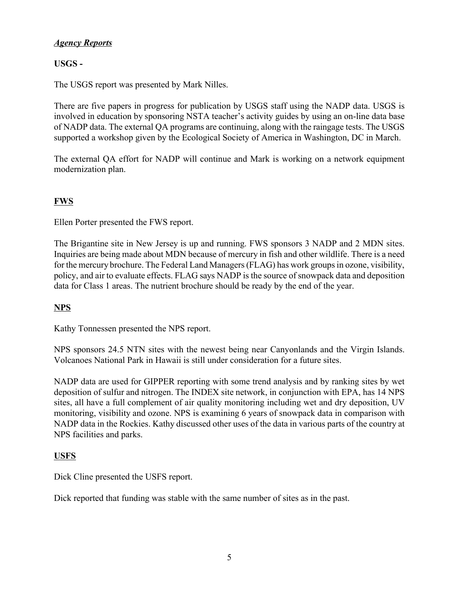## *Agency Reports*

# **USGS -**

The USGS report was presented by Mark Nilles.

There are five papers in progress for publication by USGS staff using the NADP data. USGS is involved in education by sponsoring NSTA teacher's activity guides by using an on-line data base of NADP data. The external QA programs are continuing, along with the raingage tests. The USGS supported a workshop given by the Ecological Society of America in Washington, DC in March.

The external QA effort for NADP will continue and Mark is working on a network equipment modernization plan.

# **FWS**

Ellen Porter presented the FWS report.

The Brigantine site in New Jersey is up and running. FWS sponsors 3 NADP and 2 MDN sites. Inquiries are being made about MDN because of mercury in fish and other wildlife. There is a need for the mercury brochure. The Federal Land Managers (FLAG) has work groups in ozone, visibility, policy, and air to evaluate effects. FLAG says NADP is the source of snowpack data and deposition data for Class 1 areas. The nutrient brochure should be ready by the end of the year.

# **NPS**

Kathy Tonnessen presented the NPS report.

NPS sponsors 24.5 NTN sites with the newest being near Canyonlands and the Virgin Islands. Volcanoes National Park in Hawaii is still under consideration for a future sites.

NADP data are used for GIPPER reporting with some trend analysis and by ranking sites by wet deposition of sulfur and nitrogen. The INDEX site network, in conjunction with EPA, has 14 NPS sites, all have a full complement of air quality monitoring including wet and dry deposition, UV monitoring, visibility and ozone. NPS is examining 6 years of snowpack data in comparison with NADP data in the Rockies. Kathy discussed other uses of the data in various parts of the country at NPS facilities and parks.

## **USFS**

Dick Cline presented the USFS report.

Dick reported that funding was stable with the same number of sites as in the past.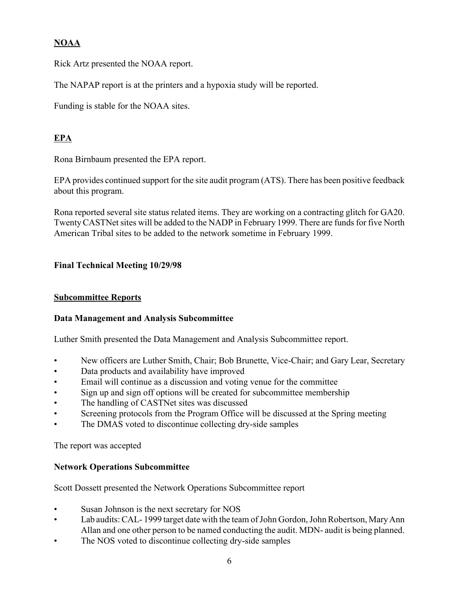# **NOAA**

Rick Artz presented the NOAA report.

The NAPAP report is at the printers and a hypoxia study will be reported.

Funding is stable for the NOAA sites.

# **EPA**

Rona Birnbaum presented the EPA report.

EPA provides continued support for the site audit program (ATS). There has been positive feedback about this program.

Rona reported several site status related items. They are working on a contracting glitch for GA20. Twenty CASTNet sites will be added to the NADP in February 1999. There are funds for five North American Tribal sites to be added to the network sometime in February 1999.

# **Final Technical Meeting 10/29/98**

## **Subcommittee Reports**

## **Data Management and Analysis Subcommittee**

Luther Smith presented the Data Management and Analysis Subcommittee report.

- New officers are Luther Smith, Chair; Bob Brunette, Vice-Chair; and Gary Lear, Secretary
- Data products and availability have improved
- Email will continue as a discussion and voting venue for the committee
- Sign up and sign off options will be created for subcommittee membership
- The handling of CASTNet sites was discussed
- Screening protocols from the Program Office will be discussed at the Spring meeting
- The DMAS voted to discontinue collecting dry-side samples

The report was accepted

## **Network Operations Subcommittee**

Scott Dossett presented the Network Operations Subcommittee report

- Susan Johnson is the next secretary for NOS
- Lab audits: CAL-1999 target date with the team of John Gordon, John Robertson, Mary Ann Allan and one other person to be named conducting the audit. MDN- audit is being planned.
- The NOS voted to discontinue collecting dry-side samples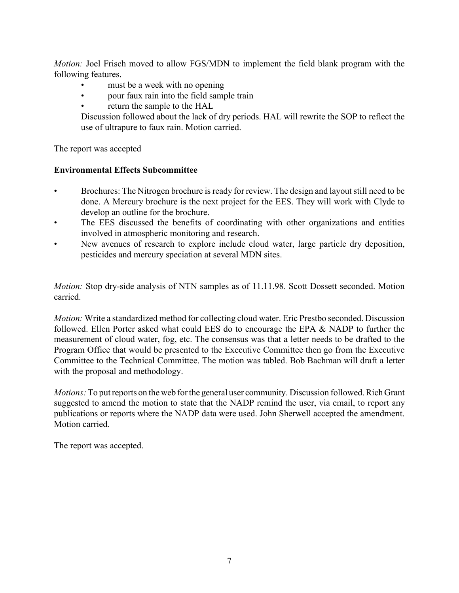*Motion:* Joel Frisch moved to allow FGS/MDN to implement the field blank program with the following features.

- must be a week with no opening
- pour faux rain into the field sample train
- return the sample to the HAL

Discussion followed about the lack of dry periods. HAL will rewrite the SOP to reflect the use of ultrapure to faux rain. Motion carried.

The report was accepted

## **Environmental Effects Subcommittee**

- Brochures: The Nitrogen brochure is ready for review. The design and layout still need to be done. A Mercury brochure is the next project for the EES. They will work with Clyde to develop an outline for the brochure.
- The EES discussed the benefits of coordinating with other organizations and entities involved in atmospheric monitoring and research.
- New avenues of research to explore include cloud water, large particle dry deposition, pesticides and mercury speciation at several MDN sites.

*Motion:* Stop dry-side analysis of NTN samples as of 11.11.98. Scott Dossett seconded. Motion carried.

*Motion:* Write a standardized method for collecting cloud water. Eric Prestbo seconded. Discussion followed. Ellen Porter asked what could EES do to encourage the EPA & NADP to further the measurement of cloud water, fog, etc. The consensus was that a letter needs to be drafted to the Program Office that would be presented to the Executive Committee then go from the Executive Committee to the Technical Committee. The motion was tabled. Bob Bachman will draft a letter with the proposal and methodology.

*Motions:* To put reports on the web for the general user community. Discussion followed. Rich Grant suggested to amend the motion to state that the NADP remind the user, via email, to report any publications or reports where the NADP data were used. John Sherwell accepted the amendment. Motion carried.

The report was accepted.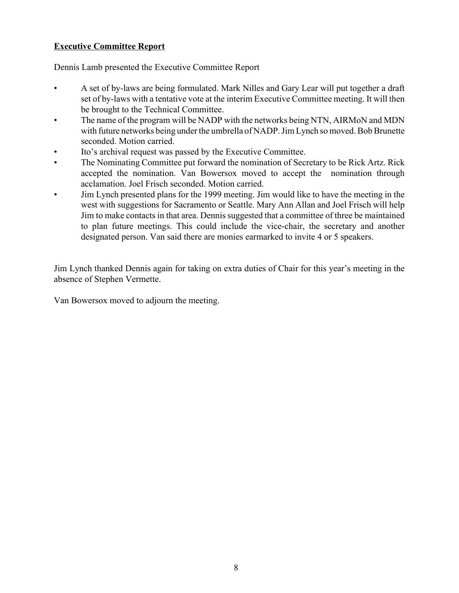## **Executive Committee Report**

Dennis Lamb presented the Executive Committee Report

- A set of by-laws are being formulated. Mark Nilles and Gary Lear will put together a draft set of by-laws with a tentative vote at the interim Executive Committee meeting. It will then be brought to the Technical Committee.
- The name of the program will be NADP with the networks being NTN, AIRMoN and MDN with future networks being under the umbrella of NADP. Jim Lynch so moved. Bob Brunette seconded. Motion carried.
- Ito's archival request was passed by the Executive Committee.
- The Nominating Committee put forward the nomination of Secretary to be Rick Artz. Rick accepted the nomination. Van Bowersox moved to accept the nomination through acclamation. Joel Frisch seconded. Motion carried.
- Jim Lynch presented plans for the 1999 meeting. Jim would like to have the meeting in the west with suggestions for Sacramento or Seattle. Mary Ann Allan and Joel Frisch will help Jim to make contacts in that area. Dennis suggested that a committee of three be maintained to plan future meetings. This could include the vice-chair, the secretary and another designated person. Van said there are monies earmarked to invite 4 or 5 speakers.

Jim Lynch thanked Dennis again for taking on extra duties of Chair for this year's meeting in the absence of Stephen Vermette.

Van Bowersox moved to adjourn the meeting.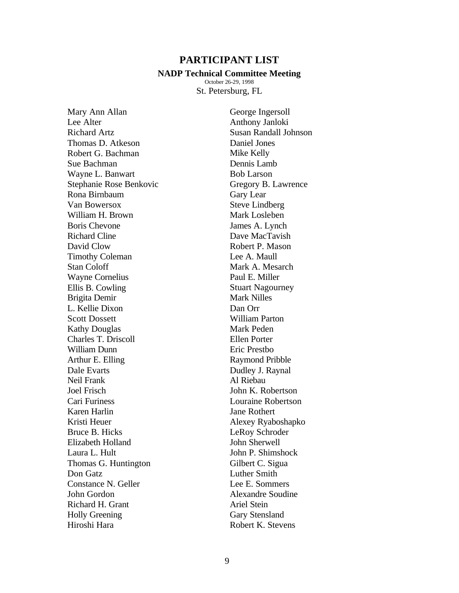### **PARTICIPANT LIST**

#### **NADP Technical Committee Meeting**

October 26-29, 1998 St. Petersburg, FL

Mary Ann Allan Lee Alter Richard Artz Thomas D. Atkeson Robert G. Bachman Sue Bachman Wayne L. Banwart Stephanie Rose Benkovic Rona Birnbaum Van Bowersox William H. Brown Boris Chevone Richard Cline David Clow Timothy Coleman Stan Coloff Wayne Cornelius Ellis B. Cowling Brigita Demir L. Kellie Dixon Scott Dossett Kathy Douglas Charles T. Driscoll William Dunn Arthur E. Elling Dale Evarts Neil Frank Joel Frisch Cari Furiness Karen Harlin Kristi Heuer Bruce B. Hicks Elizabeth Holland Laura L. Hult Thomas G. Huntington Don Gatz Constance N. Geller John Gordon Richard H. Grant Holly Greening Hiroshi Hara

George Ingersoll Anthony Janloki Susan Randall Johnson Daniel Jones Mike Kelly Dennis Lamb Bob Larson Gregory B. Lawrence Gary Lear Steve Lindberg Mark Losleben James A. Lynch Dave MacTavish Robert P. Mason Lee A. Maull Mark A. Mesarch Paul E. Miller Stuart Nagourney Mark Nilles Dan Orr William Parton Mark Peden Ellen Porter Eric Prestbo Raymond Pribble Dudley J. Raynal Al Riebau John K. Robertson Louraine Robertson Jane Rothert Alexey Ryaboshapko LeRoy Schroder John Sherwell John P. Shimshock Gilbert C. Sigua Luther Smith Lee E. Sommers Alexandre Soudine Ariel Stein Gary Stensland Robert K. Stevens